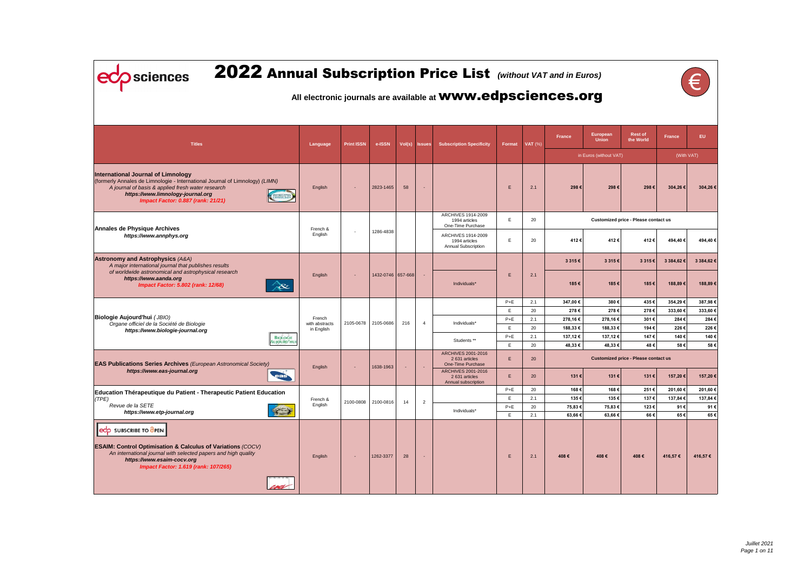| 2022 Annual Subscription Price List (Without VAT and in Euros)<br><b>Sciences</b><br>All electronic journals are available at <b>WWW.edpsciences.org</b>                                                                                                         |                          |                          |                     |        |                |                                                                 |             |           |                     |                          |                                             |               |             |
|------------------------------------------------------------------------------------------------------------------------------------------------------------------------------------------------------------------------------------------------------------------|--------------------------|--------------------------|---------------------|--------|----------------|-----------------------------------------------------------------|-------------|-----------|---------------------|--------------------------|---------------------------------------------|---------------|-------------|
|                                                                                                                                                                                                                                                                  |                          |                          |                     |        |                |                                                                 |             |           |                     |                          |                                             |               |             |
| <b>Titles</b>                                                                                                                                                                                                                                                    | Language                 | <b>Print ISSN</b>        | e-ISSN              | Vol(s) | <b>Issues</b>  | <b>Subscription Specificity</b>                                 | Format      | $VAT$ (%) | <b>France</b>       | European<br><b>Union</b> | <b>Rest of</b><br>the World                 | <b>France</b> | EU          |
|                                                                                                                                                                                                                                                                  |                          |                          |                     |        |                |                                                                 |             |           |                     | in Euros (without VAT)   |                                             |               | (With VAT)  |
| <b>International Journal of Limnology</b><br>(formerly Annales de Limnologie - International Journal of Limnology) (LIMN)<br>A journal of basis & applied fresh water research<br>https://www.limnology-journal.org<br><b>Impact Factor: 0.887 (rank: 21/21)</b> | English                  | $\overline{\phantom{a}}$ | 2823-1465           | 58     | $\sim$         |                                                                 | E           | 2.1       | 298€                | 298€                     | 298€                                        | 304,26 €      | 304,26€     |
|                                                                                                                                                                                                                                                                  |                          |                          |                     |        |                | ARCHIVES 1914-2009<br>1994 articles<br>One-Time Purchase        | Ε.          | 20        |                     |                          | Customized price - Please contact us        |               |             |
| <b>Annales de Physique Archives</b><br>https://www.annphys.org                                                                                                                                                                                                   | French &<br>English      |                          | 1286-4838           |        |                | ARCHIVES 1914-2009<br>1994 articles<br>Annual Subscription      | E.          | 20        | 412€                | 412€                     | 412€                                        | 494,40 €      | 494,40€     |
| <b>Astronomy and Astrophysics (A&amp;A)</b><br>A major international journal that publishes results                                                                                                                                                              |                          |                          |                     |        |                |                                                                 |             |           | 3 3 1 5 €           | 3 3 1 5 €                | 3 315 €                                     | 3 384,62 €    | 3 384,62 €  |
| of worldwide astronomical and astrophysical research<br>https://www.aanda.org<br><b>Impact Factor: 5.802 (rank: 12/68)</b><br>RE                                                                                                                                 | English                  |                          | 1432-0746 657-668   |        | $\sim$         | Individuals*                                                    | E           | 2.1       | 185€                | 185€                     | 185€                                        | 188,89 €      | 188,89€     |
|                                                                                                                                                                                                                                                                  |                          |                          |                     |        |                |                                                                 | $P+E$       | 2.1       | 347,00€             | 380€                     | 435€                                        | 354,29€       | 387,98€     |
|                                                                                                                                                                                                                                                                  |                          |                          |                     |        |                |                                                                 | Ε.          | 20        | 278€                | 278€                     | 278€                                        | 333,60€       | 333,60€     |
| <b>Biologie Aujourd'hui (JBIO)</b><br>Organe officiel de la Société de Biologie                                                                                                                                                                                  | French<br>with abstracts |                          | 2105-0678 2105-0686 | 216    | $\overline{4}$ | Individuals*                                                    | $P+E$       | 2.1       | 278,16€             | 278,16€                  | 301€                                        | 284€          | 284€        |
| https://www.biologie-journal.org                                                                                                                                                                                                                                 | in English               |                          |                     |        |                |                                                                 | Ε.          | 20        | 188,33 €            | 188,33 €                 | 194€                                        | 226€          | 226€        |
| <b>BIOLOGIE</b><br>Aujourd'hu                                                                                                                                                                                                                                    |                          |                          |                     |        |                | Students **                                                     | $P+E$<br>E. | 2.1<br>20 | 137,12 €<br>48,33 € | 137,12€<br>48,33€        | 147€<br>48€                                 | 140€<br>58€   | 140€<br>58€ |
| <b>EAS Publications Series Archives</b> (European Astronomical Society)                                                                                                                                                                                          |                          |                          |                     |        |                | <b>ARCHIVES 2001-2016</b><br>2631 articles<br>One-Time Purchase | E.          | 20        |                     |                          | <b>Customized price - Please contact us</b> |               |             |
| https://www.eas-journal.org<br>eas                                                                                                                                                                                                                               | English                  |                          | 1638-1963           |        |                | ARCHIVES 2001-2016<br>2 631 articles<br>Annual subscription     | Ε.          | 20        | 131€                | 131€                     | 131€                                        | 157,20 €      | 157,20€     |
| Education Thérapeutique du Patient - Therapeutic Patient Education                                                                                                                                                                                               |                          |                          |                     |        |                |                                                                 | $P+E$       | 20        | 168€                | 168€                     | 251€                                        | 201,60€       | 201,60€     |
| (TPE)<br>Revue de la SETE                                                                                                                                                                                                                                        | French &<br>English      |                          | 2100-0808 2100-0816 | 14     | 2              |                                                                 | E.          | 2.1       | 135€                | 135€                     | 137€                                        | 137,84 €      | 137,84 €    |
| $\rightarrow$<br>https://www.etp-journal.org                                                                                                                                                                                                                     |                          |                          |                     |        |                | Individuals*                                                    | $P+E$<br>E. | 20<br>2.1 | 75,83€<br>63,66€    | 75,83€<br>63,66€         | 123€<br>66€                                 | 91€<br>65€    | 91€<br>65€  |
| ecp SUBSCRIBE TO OPEN<br><b>ESAIM: Control Optimisation &amp; Calculus of Variations (COCV)</b><br>An international journal with selected papers and high quality<br>https://www.esaim-cocv.org<br><b>Impact Factor: 1.619 (rank: 107/265)</b><br>sei            | English                  |                          | 1262-3377           | 28     |                |                                                                 | Ε.          | 2.1       | 408€                | 408€                     | 408€                                        | 416,57€       | 416,57 €    |

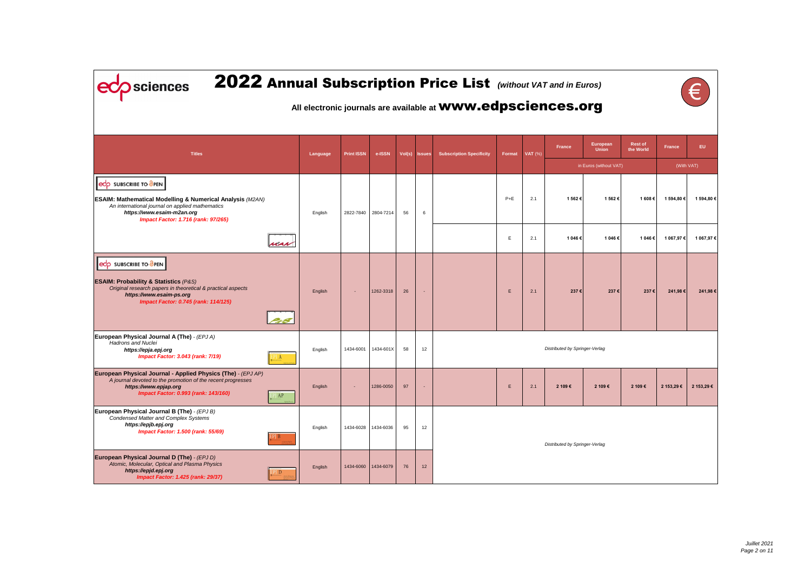ecp sciences

# 2022 Annual Subscription Price List *(without VAT and in Euros)*

### **All electronic journals are available at** www.edpsciences.org

|--|

| <b>Titles</b>                                                                                                                                                                                                                |                          | Language | <b>Print ISSN</b> | e-ISSN              |    | Vol(s) Issues            | <b>Subscription Specificity</b> |              | Format   VAT (%) | France                         | <b>European</b><br><b>Union</b> | <b>Rest of</b><br>the World | France     | EU.        |
|------------------------------------------------------------------------------------------------------------------------------------------------------------------------------------------------------------------------------|--------------------------|----------|-------------------|---------------------|----|--------------------------|---------------------------------|--------------|------------------|--------------------------------|---------------------------------|-----------------------------|------------|------------|
|                                                                                                                                                                                                                              |                          |          |                   |                     |    |                          |                                 |              |                  |                                | in Euros (without VAT)          |                             |            | (With VAT) |
| ecp SUBSCRIBE TO OPEN<br><b>ESAIM: Mathematical Modelling &amp; Numerical Analysis (M2AN)</b><br>An international journal on applied mathematics<br>https://www.esaim-m2an.org<br><b>Impact Factor: 1.716 (rank: 97/265)</b> |                          | English  |                   | 2822-7840 2804-7214 | 56 | 6                        |                                 | $P+E$        | 2.1              | 1 562 €                        | 1 562 €                         | 1 608 €                     | 1 594,80 € | 1 594,80 € |
|                                                                                                                                                                                                                              | $\mathcal{A}$            |          |                   |                     |    |                          |                                 | $\mathsf E$  | 2.1              | 1 046 €                        | 1 046€                          | 1 046 €                     | 1 067,97 € | 1 067,97 € |
| edp SUBSCRIBE TO OPEN<br><b>ESAIM: Probability &amp; Statistics (P&amp;S)</b><br>Original research papers in theoretical & practical aspects<br>https://www.esaim-ps.org<br><b>Impact Factor: 0.745 (rank: 114/125)</b>      |                          | English  | $\blacksquare$    | 1262-3318           | 26 | $\blacksquare$           |                                 | $\mathsf{E}$ | 2.1              | 237€                           | 237€                            | 237€                        | 241,98 €   | 241,98€    |
| European Physical Journal A (The) - (EPJ A)<br><b>Hadrons and Nuclei</b><br>https://epja.epj.org<br><b>Impact Factor: 3.043 (rank: 7/19)</b>                                                                                 | $\mathbb{P}[\mathbf{A}]$ | English  | 1434-6001         | 1434-601X           | 58 | 12                       |                                 |              |                  | Distributed by Springer-Verlag |                                 |                             |            |            |
| European Physical Journal - Applied Physics (The) - (EPJ AP)<br>A journal devoted to the promotion of the recent progresses<br>https://www.epjap.org<br>Impact Factor: 0.993 (rank: 143/160)                                 | AP                       | English  | $\blacksquare$    | 1286-0050           | 97 | $\overline{\phantom{a}}$ |                                 | E.           | 2.1              | 2 109€                         | 2 109€                          | 2 109€                      | 2 153,29€  | 2 153,29€  |
| European Physical Journal B (The) - (EPJ B)<br><b>Condensed Matter and Complex Systems</b><br>https://epjb.epj.org<br><b>Impact Factor: 1.500 (rank: 55/69)</b>                                                              | PJ B                     | English  | 1434-6028         | 1434-6036           | 95 | 12                       |                                 |              |                  | Distributed by Springer-Verlag |                                 |                             |            |            |
| European Physical Journal D (The) - (EPJ D)<br>Atomic, Molecular, Optical and Plasma Physics<br>https://epjd.epj.org<br><b>Impact Factor: 1.425 (rank: 29/37)</b>                                                            | $\overline{D}$           | English  | 1434-6060         | 1434-6079           | 76 | 12                       |                                 |              |                  |                                |                                 |                             |            |            |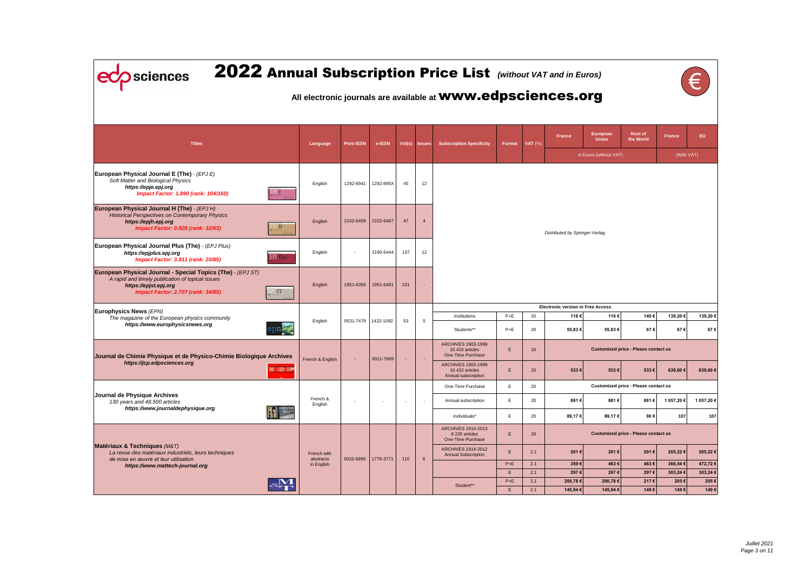| 2022 Annual Subscription Price List (Without VAT and in Euros)<br>sciences<br>All electronic journals are available at <b>WWW.edpsciences.org</b>                                     |                                  |                          |                          |                          |                          |                          |                                                                          |                |                |                                          |                          |                                             |                    |                      |
|---------------------------------------------------------------------------------------------------------------------------------------------------------------------------------------|----------------------------------|--------------------------|--------------------------|--------------------------|--------------------------|--------------------------|--------------------------------------------------------------------------|----------------|----------------|------------------------------------------|--------------------------|---------------------------------------------|--------------------|----------------------|
| <b>Titles</b>                                                                                                                                                                         |                                  | Language                 | <b>Print ISSN</b>        | e-ISSN                   |                          | Vol(s) Issues            | <b>Subscription Specificity</b>                                          | Format         | <b>VAT</b> (%) | <b>France</b>                            | European<br><b>Union</b> | <b>Rest of</b><br>the World                 | <b>France</b>      | EU.                  |
|                                                                                                                                                                                       |                                  |                          |                          |                          |                          |                          |                                                                          |                |                |                                          | in Euros (without VAT)   |                                             | (With VAT)         |                      |
| European Physical Journal E (The) - (EPJ E)<br>Soft Matter and Biological Physics<br>https://epje.epj.org<br>Impact Factor: 1.890 (rank: 104/160)                                     | EPJ E                            | English                  | 1292-8941                | 1292-895X                | 45                       | 12                       |                                                                          |                |                |                                          |                          |                                             |                    |                      |
| European Physical Journal H (The) - (EPJ H)<br><b>Historical Perspectives on Contemporary Physics</b><br>https://epjh.epj.org<br><b>Impact Factor: 0.828 (rank: 32/63)</b>            | PJH                              | English                  | 2102-6459                | 2102-6467                | 47                       | $\overline{4}$           |                                                                          |                |                | Distributed by Springer-Verlag           |                          |                                             |                    |                      |
| European Physical Journal Plus (The) - (EPJ Plus)<br>https://epjplus.epj.org<br><b>Impact Factor: 3.911 (rank: 20/85)</b>                                                             | <b>EPJ</b> Plus                  | English                  | $\overline{\phantom{a}}$ | 2190-5444                | 137                      | 12                       |                                                                          |                |                |                                          |                          |                                             |                    |                      |
| European Physical Journal - Special Topics (The) - (EPJ ST)<br>A rapid and timely publication of topical issues<br>https://epjst.epj.org<br><b>Impact Factor: 2.707 (rank: 34/85)</b> | <sup>[</sup> ST]                 | English                  | 1951-6355                | 1951-6401                | 231                      |                          |                                                                          |                |                |                                          |                          |                                             |                    |                      |
| Europhysics News (EPN)                                                                                                                                                                |                                  |                          |                          |                          |                          |                          |                                                                          |                |                | <b>Electronic version in Free Access</b> |                          |                                             |                    |                      |
| The magazine of the European physics community<br>https://www.europhysicsnews.org                                                                                                     | $\mathsf{ppn}_{\infty, \bullet}$ | English                  | 0531-7479                | 1432-1092                | 53                       | 5                        | Institutions<br>Students**                                               | $P+E$<br>$P+E$ | 20<br>20       | 116€<br>55,83 €                          | 116 €<br>55,83 €         | 140€<br>67€                                 | 139,20€<br>67€     | 139,20 €<br>67€      |
| Journal de Chimie Physique et de Physico-Chimie Biologique Archives                                                                                                                   |                                  | French & English         |                          | 0021-7689                |                          |                          | <b>ARCHIVES 1903-1999</b><br>10 432 articles<br><b>One-Time Purchase</b> | E              | 20             |                                          |                          | <b>Customized price - Please contact us</b> |                    |                      |
| https://jcp.edpsciences.org                                                                                                                                                           |                                  |                          |                          |                          |                          |                          | <b>ARCHIVES 1903-1999</b><br>10 432 articles<br>Annual subscription      | E              | 20             | 533€                                     | 533€                     | 533€                                        | 639,60 €           | 639,60€              |
|                                                                                                                                                                                       |                                  |                          |                          |                          |                          |                          | One-Time Purchase                                                        | E              | 20             |                                          |                          | Customized price - Please contact us        |                    |                      |
| Journal de Physique Archives<br>130 years and 48.500 articles<br>https://www.journaldephysique.org                                                                                    |                                  | French &<br>English      | $\overline{\phantom{a}}$ | $\overline{\phantom{a}}$ | $\overline{\phantom{a}}$ | $\overline{\phantom{a}}$ | Annual subscription                                                      | E              | 20             | 881€                                     | 881€                     | 881€                                        | 1 057,20 €         | 1 057,20 €           |
|                                                                                                                                                                                       | $\mathbf{F}$                     |                          |                          |                          |                          |                          | Individuals*                                                             | E              | 20             | 89,17€                                   | 89,17€                   | 90€                                         | 107                | 107                  |
|                                                                                                                                                                                       |                                  |                          |                          |                          |                          |                          | <b>ARCHIVES 1914-2013</b><br>8 225 articles<br>One-Time Purchase         | E              | 20             |                                          |                          | <b>Customized price - Please contact us</b> |                    |                      |
| Matériaux & Techniques (M&T)<br>La revue des matériaux industriels, leurs techniques<br>de mise en œuvre et leur utilisation                                                          |                                  | French with<br>abstracts | 0032-6895                | 1778-3771                | 110                      | $6\phantom{1}6$          | <b>ARCHIVES 1914-2012</b><br><b>Annual Subscription</b>                  | E              | 2.1            | 201€                                     | 201€                     | 201€                                        | 205,22 €           | 205,22 €             |
| https://www.mattech-journal.org                                                                                                                                                       |                                  | in English               |                          |                          |                          |                          |                                                                          | $P+E$<br>E     | 2.1<br>2.1     | 359€<br>297€                             | 463€<br>297€             | 463€<br>297€                                | 366,54€<br>303,24€ | 472,72 €<br>303,24 € |
|                                                                                                                                                                                       |                                  |                          |                          |                          |                          |                          |                                                                          | $P+E$          | 2,1            | 200,78€                                  | 200,78€                  | 217€                                        | 205€               | 205€                 |
|                                                                                                                                                                                       |                                  |                          |                          |                          |                          |                          | Student**                                                                | E              | 2.1            | 145,94 €                                 | 145,94 €                 | 149€                                        | 149€               | 149€                 |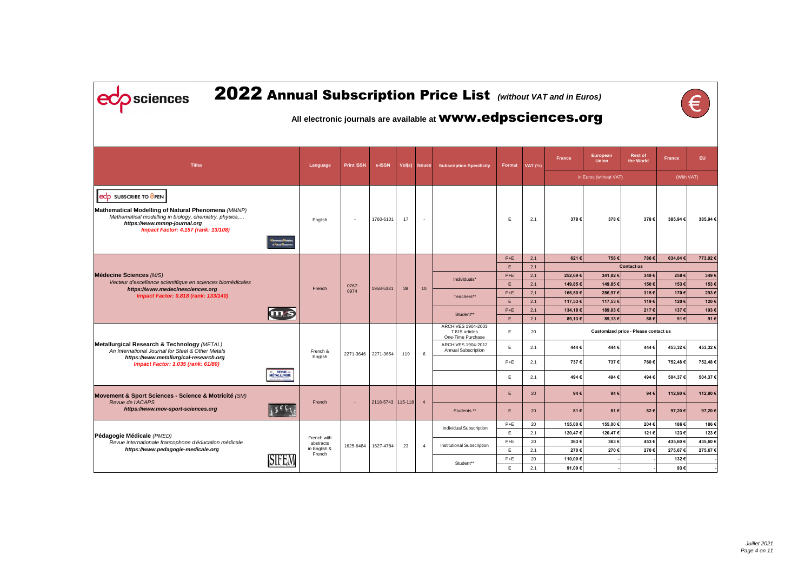| <b>Rest of</b><br><b>European</b><br><b>France</b><br>EU.<br><b>France</b><br>the World<br><b>Union</b><br><b>Titles</b><br><b>Print ISSN</b><br>e-ISSN<br>Vol(s) Issues<br>$\mathsf{VAT}$ (%)<br>Language<br><b>Subscription Specificity</b><br>Format<br>(With VAT)<br>in Euros (without VAT)<br><b>SUBSCRIBE TO OPEN</b><br>edo<br>Mathematical Modelling of Natural Phenomena (MMNP)<br>Mathematical modelling in biology, chemistry, physics,<br>378€<br>378€<br>378€<br>1760-6101<br>17<br>E<br>385,94€<br>English<br>2.1<br>$\blacksquare$<br>$\overline{\phantom{a}}$<br>https://www.mmnp-journal.org<br><b>Impact Factor: 4.157 (rank: 13/108)</b><br>of Natural Phenomen<br>$P+E$<br>621€<br>786€<br>2,1<br>758€<br>634,04€<br>E.<br>2.1<br><b>Contact us</b><br>Médecine Sciences (M/S)<br>$P+E$<br>349€<br>258€<br>2,1<br>252,69€<br>341,82€<br>Individuals*<br>Vecteur d'excellence scientifique en sciences biomédicales<br>150€<br>153€<br>Ε.<br>2.1<br>149,85€<br>149,85€<br>0767-<br>1958-5381<br>38<br>10<br>French<br>https://www.medecinesciences.org<br>0974<br>$P+E$<br>166,50€<br>286,97€<br>315€<br>170€<br>2,1<br>Impact Factor: 0.818 (rank: 133/140)<br>Teachers**<br>E.<br>2.1<br>117,53 €<br>117,53 €<br>119€<br>120€<br>120€<br>$P+E$<br>134,18€<br>189,03€<br>217€<br>137€<br>193€<br>2,1<br>Student**<br>E.<br>$88 \in$<br>2.1<br>89,13€<br>89,13€<br>91€<br>91€<br>ARCHIVES 1904-2003<br>E.<br>Customized price - Please contact us<br>20<br>7815 articles<br>One-Time Purchase<br>Metallurgical Research & Technology (METAL)<br>ARCHIVES 1904-2012<br>Ε.<br>444€<br>453,32 €<br>2.1<br>444€<br>444€<br>Annual Subscription<br>An International Journal for Steel & Other Metals<br>French &<br>2271-3646 2271-3654<br>119<br>6<br>English<br>https://www.metallurgical-research.org<br>$P+E$<br>737€<br>737€<br>760€<br>752,48€<br>2.1<br><b>Impact Factor: 1.035 (rank: 61/80)</b><br>= REVUE de<br>MÉTALLURGIE<br>Ε.<br>494€<br>494€<br>494€<br>504,37€<br>2.1<br>94€<br>112,80 €<br>Ε.<br>20<br>94 $\varepsilon$<br>94€<br>Revue de l'ACAPS<br>2118-5743   115-118  <br>$\overline{4}$<br>French<br>$\blacksquare$<br>https://www.mov-sport-sciences.org<br>82€<br>97,20€<br>Students **<br>Ε.<br>20<br>81 $\varepsilon$<br>81€<br>$P+E$<br>20<br>155,00€<br>155,00€<br>204€<br>186€<br>Individual Subscription<br>E<br>2.1<br>120,47€<br>120,47€<br>121 €<br>123€<br>Pédagogie Médicale (PMED)<br>French with<br>$P+E$<br>363€<br>363€<br>453€<br>435,60€<br>20<br>Revue internationale francophone d'éducation médicale<br>abstracts<br>1627-4784<br>23<br>1625-6484<br>Institutional Subscription<br>$\overline{4}$<br>in English &<br>https://www.pedagogie-medicale.org<br>E<br>275,67€<br>2.1<br>270€<br>270€<br>270€<br>275,67€<br>French<br><b>SIFEM</b><br>$P+E$<br>110,00€<br>132€<br>20<br>Student**<br>Ε.<br>91,09€<br>93€<br>2.1 | sciences                                             |  |  |  | 2022 Annual Subscription Price List (Without VAT and in Euros)<br>All electronic journals are available at <b>WWW.edpsciences.org</b> |  |  |  |          |
|-------------------------------------------------------------------------------------------------------------------------------------------------------------------------------------------------------------------------------------------------------------------------------------------------------------------------------------------------------------------------------------------------------------------------------------------------------------------------------------------------------------------------------------------------------------------------------------------------------------------------------------------------------------------------------------------------------------------------------------------------------------------------------------------------------------------------------------------------------------------------------------------------------------------------------------------------------------------------------------------------------------------------------------------------------------------------------------------------------------------------------------------------------------------------------------------------------------------------------------------------------------------------------------------------------------------------------------------------------------------------------------------------------------------------------------------------------------------------------------------------------------------------------------------------------------------------------------------------------------------------------------------------------------------------------------------------------------------------------------------------------------------------------------------------------------------------------------------------------------------------------------------------------------------------------------------------------------------------------------------------------------------------------------------------------------------------------------------------------------------------------------------------------------------------------------------------------------------------------------------------------------------------------------------------------------------------------------------------------------------------------------------------------------------------------------------------------------------------------------------------------------------------------------------------------------------------------------------------------------------------------------------------------------------------------------------------------------------------------------------------------------------------------------------------------------------------------------------------------------------------------------|------------------------------------------------------|--|--|--|---------------------------------------------------------------------------------------------------------------------------------------|--|--|--|----------|
|                                                                                                                                                                                                                                                                                                                                                                                                                                                                                                                                                                                                                                                                                                                                                                                                                                                                                                                                                                                                                                                                                                                                                                                                                                                                                                                                                                                                                                                                                                                                                                                                                                                                                                                                                                                                                                                                                                                                                                                                                                                                                                                                                                                                                                                                                                                                                                                                                                                                                                                                                                                                                                                                                                                                                                                                                                                                                     |                                                      |  |  |  |                                                                                                                                       |  |  |  |          |
|                                                                                                                                                                                                                                                                                                                                                                                                                                                                                                                                                                                                                                                                                                                                                                                                                                                                                                                                                                                                                                                                                                                                                                                                                                                                                                                                                                                                                                                                                                                                                                                                                                                                                                                                                                                                                                                                                                                                                                                                                                                                                                                                                                                                                                                                                                                                                                                                                                                                                                                                                                                                                                                                                                                                                                                                                                                                                     |                                                      |  |  |  |                                                                                                                                       |  |  |  |          |
|                                                                                                                                                                                                                                                                                                                                                                                                                                                                                                                                                                                                                                                                                                                                                                                                                                                                                                                                                                                                                                                                                                                                                                                                                                                                                                                                                                                                                                                                                                                                                                                                                                                                                                                                                                                                                                                                                                                                                                                                                                                                                                                                                                                                                                                                                                                                                                                                                                                                                                                                                                                                                                                                                                                                                                                                                                                                                     |                                                      |  |  |  |                                                                                                                                       |  |  |  | 385,94€  |
|                                                                                                                                                                                                                                                                                                                                                                                                                                                                                                                                                                                                                                                                                                                                                                                                                                                                                                                                                                                                                                                                                                                                                                                                                                                                                                                                                                                                                                                                                                                                                                                                                                                                                                                                                                                                                                                                                                                                                                                                                                                                                                                                                                                                                                                                                                                                                                                                                                                                                                                                                                                                                                                                                                                                                                                                                                                                                     |                                                      |  |  |  |                                                                                                                                       |  |  |  | 773,92€  |
|                                                                                                                                                                                                                                                                                                                                                                                                                                                                                                                                                                                                                                                                                                                                                                                                                                                                                                                                                                                                                                                                                                                                                                                                                                                                                                                                                                                                                                                                                                                                                                                                                                                                                                                                                                                                                                                                                                                                                                                                                                                                                                                                                                                                                                                                                                                                                                                                                                                                                                                                                                                                                                                                                                                                                                                                                                                                                     |                                                      |  |  |  |                                                                                                                                       |  |  |  |          |
|                                                                                                                                                                                                                                                                                                                                                                                                                                                                                                                                                                                                                                                                                                                                                                                                                                                                                                                                                                                                                                                                                                                                                                                                                                                                                                                                                                                                                                                                                                                                                                                                                                                                                                                                                                                                                                                                                                                                                                                                                                                                                                                                                                                                                                                                                                                                                                                                                                                                                                                                                                                                                                                                                                                                                                                                                                                                                     |                                                      |  |  |  |                                                                                                                                       |  |  |  | 349€     |
|                                                                                                                                                                                                                                                                                                                                                                                                                                                                                                                                                                                                                                                                                                                                                                                                                                                                                                                                                                                                                                                                                                                                                                                                                                                                                                                                                                                                                                                                                                                                                                                                                                                                                                                                                                                                                                                                                                                                                                                                                                                                                                                                                                                                                                                                                                                                                                                                                                                                                                                                                                                                                                                                                                                                                                                                                                                                                     |                                                      |  |  |  |                                                                                                                                       |  |  |  | 153€     |
|                                                                                                                                                                                                                                                                                                                                                                                                                                                                                                                                                                                                                                                                                                                                                                                                                                                                                                                                                                                                                                                                                                                                                                                                                                                                                                                                                                                                                                                                                                                                                                                                                                                                                                                                                                                                                                                                                                                                                                                                                                                                                                                                                                                                                                                                                                                                                                                                                                                                                                                                                                                                                                                                                                                                                                                                                                                                                     |                                                      |  |  |  |                                                                                                                                       |  |  |  | 293€     |
|                                                                                                                                                                                                                                                                                                                                                                                                                                                                                                                                                                                                                                                                                                                                                                                                                                                                                                                                                                                                                                                                                                                                                                                                                                                                                                                                                                                                                                                                                                                                                                                                                                                                                                                                                                                                                                                                                                                                                                                                                                                                                                                                                                                                                                                                                                                                                                                                                                                                                                                                                                                                                                                                                                                                                                                                                                                                                     |                                                      |  |  |  |                                                                                                                                       |  |  |  |          |
|                                                                                                                                                                                                                                                                                                                                                                                                                                                                                                                                                                                                                                                                                                                                                                                                                                                                                                                                                                                                                                                                                                                                                                                                                                                                                                                                                                                                                                                                                                                                                                                                                                                                                                                                                                                                                                                                                                                                                                                                                                                                                                                                                                                                                                                                                                                                                                                                                                                                                                                                                                                                                                                                                                                                                                                                                                                                                     |                                                      |  |  |  |                                                                                                                                       |  |  |  |          |
|                                                                                                                                                                                                                                                                                                                                                                                                                                                                                                                                                                                                                                                                                                                                                                                                                                                                                                                                                                                                                                                                                                                                                                                                                                                                                                                                                                                                                                                                                                                                                                                                                                                                                                                                                                                                                                                                                                                                                                                                                                                                                                                                                                                                                                                                                                                                                                                                                                                                                                                                                                                                                                                                                                                                                                                                                                                                                     |                                                      |  |  |  |                                                                                                                                       |  |  |  |          |
|                                                                                                                                                                                                                                                                                                                                                                                                                                                                                                                                                                                                                                                                                                                                                                                                                                                                                                                                                                                                                                                                                                                                                                                                                                                                                                                                                                                                                                                                                                                                                                                                                                                                                                                                                                                                                                                                                                                                                                                                                                                                                                                                                                                                                                                                                                                                                                                                                                                                                                                                                                                                                                                                                                                                                                                                                                                                                     |                                                      |  |  |  |                                                                                                                                       |  |  |  | 453,32€  |
|                                                                                                                                                                                                                                                                                                                                                                                                                                                                                                                                                                                                                                                                                                                                                                                                                                                                                                                                                                                                                                                                                                                                                                                                                                                                                                                                                                                                                                                                                                                                                                                                                                                                                                                                                                                                                                                                                                                                                                                                                                                                                                                                                                                                                                                                                                                                                                                                                                                                                                                                                                                                                                                                                                                                                                                                                                                                                     |                                                      |  |  |  |                                                                                                                                       |  |  |  | 752,48€  |
|                                                                                                                                                                                                                                                                                                                                                                                                                                                                                                                                                                                                                                                                                                                                                                                                                                                                                                                                                                                                                                                                                                                                                                                                                                                                                                                                                                                                                                                                                                                                                                                                                                                                                                                                                                                                                                                                                                                                                                                                                                                                                                                                                                                                                                                                                                                                                                                                                                                                                                                                                                                                                                                                                                                                                                                                                                                                                     |                                                      |  |  |  |                                                                                                                                       |  |  |  | 504,37€  |
|                                                                                                                                                                                                                                                                                                                                                                                                                                                                                                                                                                                                                                                                                                                                                                                                                                                                                                                                                                                                                                                                                                                                                                                                                                                                                                                                                                                                                                                                                                                                                                                                                                                                                                                                                                                                                                                                                                                                                                                                                                                                                                                                                                                                                                                                                                                                                                                                                                                                                                                                                                                                                                                                                                                                                                                                                                                                                     | Movement & Sport Sciences - Science & Motricité (SM) |  |  |  |                                                                                                                                       |  |  |  | 112,80 € |
|                                                                                                                                                                                                                                                                                                                                                                                                                                                                                                                                                                                                                                                                                                                                                                                                                                                                                                                                                                                                                                                                                                                                                                                                                                                                                                                                                                                                                                                                                                                                                                                                                                                                                                                                                                                                                                                                                                                                                                                                                                                                                                                                                                                                                                                                                                                                                                                                                                                                                                                                                                                                                                                                                                                                                                                                                                                                                     |                                                      |  |  |  |                                                                                                                                       |  |  |  | 97,20€   |
|                                                                                                                                                                                                                                                                                                                                                                                                                                                                                                                                                                                                                                                                                                                                                                                                                                                                                                                                                                                                                                                                                                                                                                                                                                                                                                                                                                                                                                                                                                                                                                                                                                                                                                                                                                                                                                                                                                                                                                                                                                                                                                                                                                                                                                                                                                                                                                                                                                                                                                                                                                                                                                                                                                                                                                                                                                                                                     |                                                      |  |  |  |                                                                                                                                       |  |  |  | 186€     |
|                                                                                                                                                                                                                                                                                                                                                                                                                                                                                                                                                                                                                                                                                                                                                                                                                                                                                                                                                                                                                                                                                                                                                                                                                                                                                                                                                                                                                                                                                                                                                                                                                                                                                                                                                                                                                                                                                                                                                                                                                                                                                                                                                                                                                                                                                                                                                                                                                                                                                                                                                                                                                                                                                                                                                                                                                                                                                     |                                                      |  |  |  |                                                                                                                                       |  |  |  | 123€     |
|                                                                                                                                                                                                                                                                                                                                                                                                                                                                                                                                                                                                                                                                                                                                                                                                                                                                                                                                                                                                                                                                                                                                                                                                                                                                                                                                                                                                                                                                                                                                                                                                                                                                                                                                                                                                                                                                                                                                                                                                                                                                                                                                                                                                                                                                                                                                                                                                                                                                                                                                                                                                                                                                                                                                                                                                                                                                                     |                                                      |  |  |  |                                                                                                                                       |  |  |  | 435,60€  |
|                                                                                                                                                                                                                                                                                                                                                                                                                                                                                                                                                                                                                                                                                                                                                                                                                                                                                                                                                                                                                                                                                                                                                                                                                                                                                                                                                                                                                                                                                                                                                                                                                                                                                                                                                                                                                                                                                                                                                                                                                                                                                                                                                                                                                                                                                                                                                                                                                                                                                                                                                                                                                                                                                                                                                                                                                                                                                     |                                                      |  |  |  |                                                                                                                                       |  |  |  |          |
|                                                                                                                                                                                                                                                                                                                                                                                                                                                                                                                                                                                                                                                                                                                                                                                                                                                                                                                                                                                                                                                                                                                                                                                                                                                                                                                                                                                                                                                                                                                                                                                                                                                                                                                                                                                                                                                                                                                                                                                                                                                                                                                                                                                                                                                                                                                                                                                                                                                                                                                                                                                                                                                                                                                                                                                                                                                                                     |                                                      |  |  |  |                                                                                                                                       |  |  |  |          |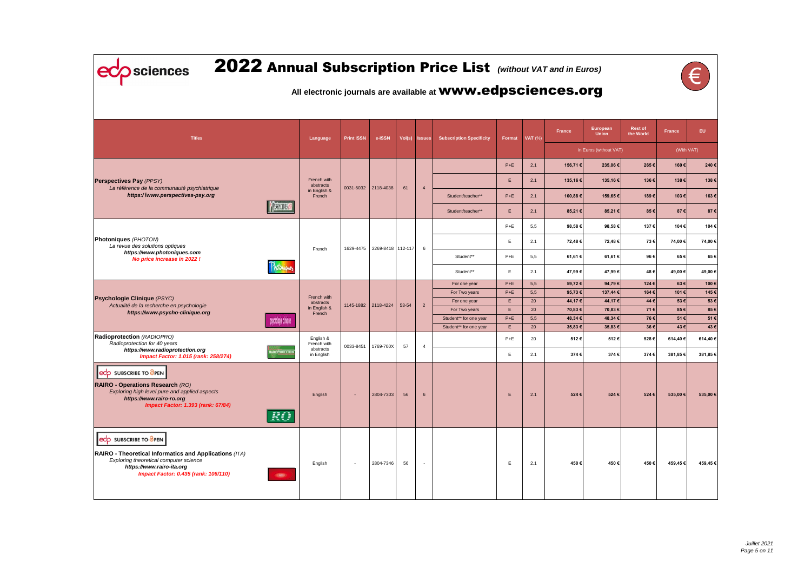| sciences                                                                                                                                                                                              |                      |                                     |                   |                     |       |                          | 2022 Annual Subscription Price List (Without VAT and in Euros)      |                |            |                  |                                 |                             |                |              |
|-------------------------------------------------------------------------------------------------------------------------------------------------------------------------------------------------------|----------------------|-------------------------------------|-------------------|---------------------|-------|--------------------------|---------------------------------------------------------------------|----------------|------------|------------------|---------------------------------|-----------------------------|----------------|--------------|
|                                                                                                                                                                                                       |                      |                                     |                   |                     |       |                          | All electronic journals are available at <b>WWW.edpsciences.org</b> |                |            |                  |                                 |                             |                |              |
| <b>Titles</b>                                                                                                                                                                                         |                      | Language                            | <b>Print ISSN</b> | e-ISSN              |       | Vol(s) Issues            | <b>Subscription Specificity</b>                                     | Format         | VAT $(%)$  | France           | <b>European</b><br><b>Union</b> | <b>Rest of</b><br>the World | <b>France</b>  | EU.          |
|                                                                                                                                                                                                       |                      |                                     |                   |                     |       |                          |                                                                     |                |            |                  | in Euros (without VAT)          |                             | (With VAT)     |              |
|                                                                                                                                                                                                       |                      |                                     |                   |                     |       |                          |                                                                     | $P+E$          | 2,1        | 156,71 €         | 235,06€                         | 265€                        | 160€           | 240€         |
| <b>Perspectives Psy (PPSY)</b>                                                                                                                                                                        |                      | French with                         |                   |                     |       |                          |                                                                     | E.             | 2.1        | 135,16€          | 135,16€                         | 136€                        | 138€           | 138€         |
| La référence de la communauté psychiatrique<br>https://www.perspectives-psy.org                                                                                                                       |                      | abstracts<br>in English &<br>French | 0031-6032         | 2118-4038           |       | $\overline{4}$           | Student/teacher**                                                   | $P+E$          | 2.1        | 100,88€          | 159,65€                         | 189€                        | 103€           | 163€         |
|                                                                                                                                                                                                       | <b>PERMITTERS</b>    |                                     |                   |                     |       |                          | Student/teacher**                                                   | Е.             | 2.1        | 85,21€           | 85,21€                          | 85€                         | 87€            | 87€          |
|                                                                                                                                                                                                       |                      |                                     |                   |                     |       |                          |                                                                     | $P+E$          | 5,5        | 98,58€           | 98,58€                          | 137€                        | 104€           | 104€         |
| <b>Photoniques (PHOTON)</b>                                                                                                                                                                           |                      |                                     |                   |                     |       |                          |                                                                     | E.             | 2.1        | 72,48 €          | 72,48€                          | 73€                         | 74,00 €        | 74,00€       |
| La revue des solutions optiques<br>https://www.photoniques.com                                                                                                                                        |                      | French                              | 1629-4475         | 2269-8418 112-117   |       | 6                        | Student**                                                           | $P+E$          | 5,5        | 61,61 €          | 61,61€                          | 96€                         | 65€            | 65€          |
| No price increase in 2022 !<br>Photoniques                                                                                                                                                            |                      |                                     |                   |                     |       |                          |                                                                     |                |            |                  |                                 |                             |                |              |
|                                                                                                                                                                                                       |                      |                                     |                   |                     |       |                          | Student**                                                           | Е.             | 2.1        | 47,99€           | 47,99€                          | 48€<br>124€                 | 49,00 €<br>63€ | 49,00€       |
|                                                                                                                                                                                                       |                      |                                     |                   |                     |       |                          | For one year<br>For Two years                                       | $P+E$<br>$P+E$ | 5,5<br>5,5 | 59,72€<br>95,73€ | 94,79€<br>137,44 €              | 164€                        | 101€           | 100€<br>145€ |
| <b>Psychologie Clinique (PSYC)</b>                                                                                                                                                                    |                      | French with                         |                   |                     |       |                          | For one year                                                        | E.             | 20         | 44,17€           | 44,17€                          | 44€                         | 53€            | 53€          |
| Actualité de la recherche en psychologie                                                                                                                                                              |                      | abstracts<br>in English &           |                   | 1145-1882 2118-4224 | 53-54 | $\overline{2}$           | For Two years                                                       | E.             | 20         | 70,83 €          | 70,83€                          | 71€                         | 85€            | 85€          |
| https://www.psycho-clinique.org                                                                                                                                                                       |                      | French                              |                   |                     |       |                          | Student** for one year                                              | $P+E$          | 5,5        | 48,34€           | 48,34€                          | 76€                         | 51€            | 51€          |
|                                                                                                                                                                                                       | psychologie clinique |                                     |                   |                     |       |                          | Student** for one year                                              | E.             | 20         | 35,83€           | 35,83€                          | 36€                         | 43€            | 43€          |
| Radioprotection (RADIOPRO)<br>Radioprotection for 40 years                                                                                                                                            |                      | English &<br>French with            |                   |                     |       |                          |                                                                     | $P+E$          | 20         | 512€             | 512€                            | 528€                        | 614,40 €       | 614,40€      |
| https://www.radioprotection.org<br><b>Impact Factor: 1.015 (rank: 258/274)</b>                                                                                                                        |                      | abstracts<br>in English             | 0033-8451         | 1769-700X           | 57    | $\overline{4}$           |                                                                     | E.             | 2.1        | 374€             | 374€                            | 374€                        | 381,85€        | 381,85€      |
| edp SUBSCRIBE TO OPEN<br><b>RAIRO - Operations Research (RO)</b><br>Exploring high level pure and applied aspects<br>https://www.rairo-ro.org<br><b>Impact Factor: 1.393 (rank: 67/84)</b>            | RO                   | English                             | $\sim$            | 2804-7303           | 56    | $6\overline{6}$          |                                                                     | E.             | 2.1        | 524€             | 524€                            | 524€                        | 535,00 €       | 535,00€      |
| eco SUBSCRIBE TO OPEN<br>RAIRO - Theoretical Informatics and Applications (ITA)<br>Exploring theoretical computer science<br>https://www.rairo-ita.org<br><b>Impact Factor: 0.435 (rank: 106/110)</b> | (65)                 | English                             | $\sim$            | 2804-7346           | 56    | $\overline{\phantom{a}}$ |                                                                     | E              | 2.1        | 450€             | 450€                            | 450€                        | 459,45 €       | 459,45€      |

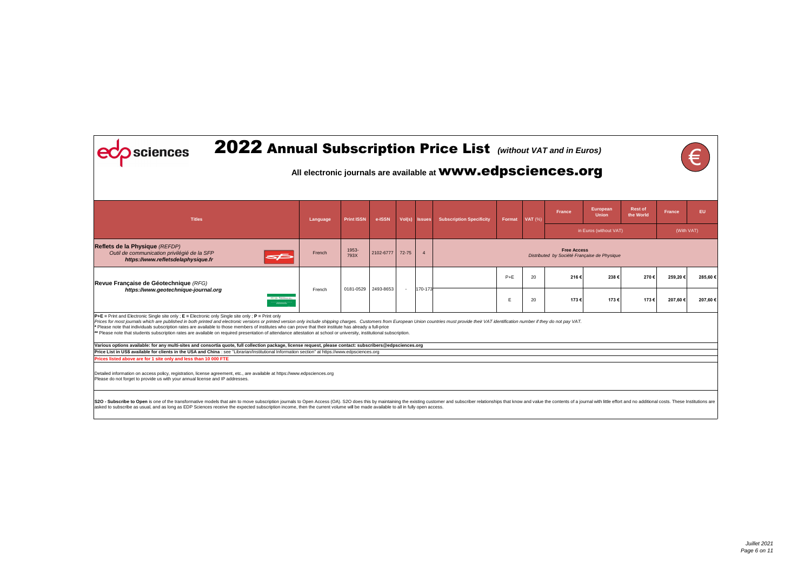| 2022 Annual Subscription Price List (Without VAT and in Euros)<br>Sciences                                                                                                                                                                                                                                                                                                                                                                                                                                                                                                                                                                                                       |          |                   |           |           |               | All electronic journals are available at <b>WWW.edpsciences.org</b> |        |                |                                                                    |                                 |                             |               |         |
|----------------------------------------------------------------------------------------------------------------------------------------------------------------------------------------------------------------------------------------------------------------------------------------------------------------------------------------------------------------------------------------------------------------------------------------------------------------------------------------------------------------------------------------------------------------------------------------------------------------------------------------------------------------------------------|----------|-------------------|-----------|-----------|---------------|---------------------------------------------------------------------|--------|----------------|--------------------------------------------------------------------|---------------------------------|-----------------------------|---------------|---------|
| <b>Titles</b>                                                                                                                                                                                                                                                                                                                                                                                                                                                                                                                                                                                                                                                                    | Language | <b>Print ISSN</b> | e-ISSN    |           | Vol(s) Issues | <b>Subscription Specificity</b>                                     | Format | <b>VAT</b> (%) | <b>France</b>                                                      | <b>European</b><br><b>Union</b> | <b>Rest of</b><br>the World | <b>France</b> | EU.     |
|                                                                                                                                                                                                                                                                                                                                                                                                                                                                                                                                                                                                                                                                                  |          |                   |           |           |               |                                                                     |        |                |                                                                    | in Euros (without VAT)          |                             | (With VAT)    |         |
| Reflets de la Physique (REFDP)<br>Outil de communication privilégié de la SFP<br>ਵ≥<br>https://www.refletsdelaphysique.fr                                                                                                                                                                                                                                                                                                                                                                                                                                                                                                                                                        | French   | 1953-<br>793X     | 2102-6777 | $72 - 75$ |               |                                                                     |        |                | <b>Free Access</b><br>Distributed by Société Française de Physique |                                 |                             |               |         |
| Revue Française de Géotechnique (RFG)                                                                                                                                                                                                                                                                                                                                                                                                                                                                                                                                                                                                                                            |          |                   |           |           |               |                                                                     | $P+E$  | 20             | 216€                                                               | 238€                            | 270€                        | 259,20€       | 285,60€ |
| https://www.geotechnique-journal.org<br><b>Teacher</b>                                                                                                                                                                                                                                                                                                                                                                                                                                                                                                                                                                                                                           | French   | 0181-0529         | 2493-8653 | $\sim$    | 170-173       |                                                                     | E      | 20             | 173€                                                               | 173€                            | 173€                        | 207,60 €      | 207,60€ |
| $P+E =$ Print and Electronic Single site only; $E =$ Electronic only Single site only; $P =$ Print only<br>Prices for most journals which are published in both printed and electronic versions or printed version only include shipping charges. Customers from European Union countries must provide their VAT identification number if<br>* Please note that individuals subscription rates are available to those members of institutes who can prove that their institute has already a full-price<br>** Please note that students subscription rates are available on required presentation of attendance attestation at school or university, institutional subscription. |          |                   |           |           |               |                                                                     |        |                |                                                                    |                                 |                             |               |         |
| Various options available: for any multi-sites and consortia quote, full collection package, license request, please contact: subscribers@edpsciences.org                                                                                                                                                                                                                                                                                                                                                                                                                                                                                                                        |          |                   |           |           |               |                                                                     |        |                |                                                                    |                                 |                             |               |         |
| Price List in US\$ available for clients in the USA and China : see "Librarian/Institutional Information section" at https://www.edpsciences.org                                                                                                                                                                                                                                                                                                                                                                                                                                                                                                                                 |          |                   |           |           |               |                                                                     |        |                |                                                                    |                                 |                             |               |         |
| Prices listed above are for 1 site only and less than 10 000 FTE                                                                                                                                                                                                                                                                                                                                                                                                                                                                                                                                                                                                                 |          |                   |           |           |               |                                                                     |        |                |                                                                    |                                 |                             |               |         |
| Detailed information on access policy, registration, license agreement, etc., are available at https://www.edpsciences.org<br>Please do not forget to provide us with your annual license and IP addresses.                                                                                                                                                                                                                                                                                                                                                                                                                                                                      |          |                   |           |           |               |                                                                     |        |                |                                                                    |                                 |                             |               |         |
| S2O - Subscribe to Open is one of the transformative models that aim to move subscription journals to Open Access (OA). S2O does this by maintaining the existing customer and subscriber relationships that know and value th<br>asked to subscribe as usual, and as long as EDP Sciences receive the expected subscription income, then the current volume will be made available to all in fully open access.                                                                                                                                                                                                                                                                 |          |                   |           |           |               |                                                                     |        |                |                                                                    |                                 |                             |               |         |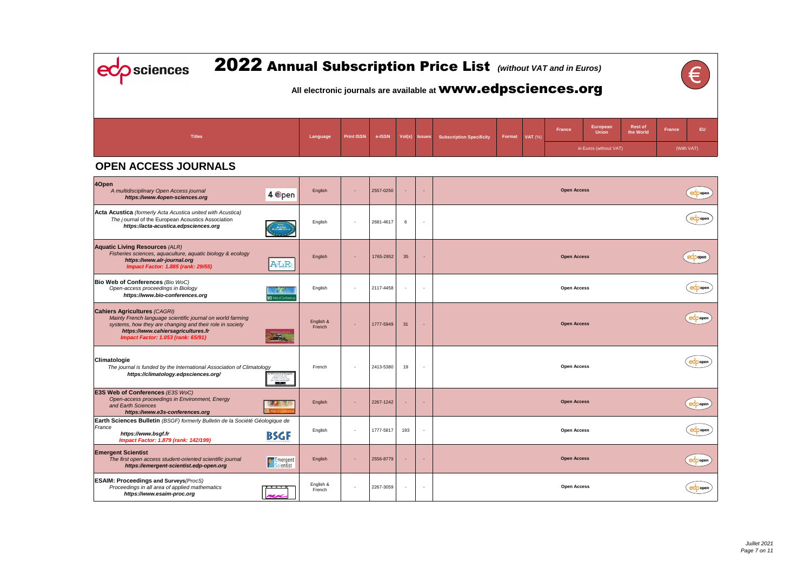eco sciences

## 2022 Annual Subscription Price List *(without VAT and in Euros)*

| Euros)                   |                             |               |    |
|--------------------------|-----------------------------|---------------|----|
| org                      |                             |               |    |
| European<br><b>Union</b> | <b>Rest of</b><br>the World | <b>France</b> | EU |
| in Euros (without VAT)   |                             | (With VAT)    |    |

| eco open        |  |
|-----------------|--|
| $e^{\phi}$ open |  |
| $\epsilon$      |  |
| $\epsilon$      |  |
| $e^{\phi}$ open |  |
| $e^{\phi}$ open |  |
| $\epsilon$      |  |
| $e^{\phi}$ open |  |
| $\epsilon$      |  |
| ecoppen         |  |

### **All electronic journals are available at** www.edpsciences.org

| <b>Titles</b>                                                                                                                                                                                                                                    |                                | Language            | <b>Print ISSN</b> | e-ISSN    |    | Vol(s) Issues            | <b>Subscription Specificity</b> | <b>Format</b> | <b>VAT</b> (%) | <b>France</b>      | European<br><b>Union</b> |
|--------------------------------------------------------------------------------------------------------------------------------------------------------------------------------------------------------------------------------------------------|--------------------------------|---------------------|-------------------|-----------|----|--------------------------|---------------------------------|---------------|----------------|--------------------|--------------------------|
|                                                                                                                                                                                                                                                  |                                |                     |                   |           |    |                          |                                 |               |                |                    | in Euros (without        |
| <b>OPEN ACCESS JOURNALS</b>                                                                                                                                                                                                                      |                                |                     |                   |           |    |                          |                                 |               |                |                    |                          |
| 4Open<br>A multidisciplinary Open Access journal<br>https://www.4open-sciences.org                                                                                                                                                               | 4 Open                         | English             |                   | 2557-0250 |    | ч.                       |                                 |               |                | <b>Open Access</b> |                          |
| Acta Acustica (formerly Acta Acustica united with Acustica)<br>The journal of the European Acoustics Association<br>https://acta-acustica.edpsciences.org                                                                                        |                                | English             |                   | 2681-4617 | 6  | $\blacksquare$           |                                 |               |                |                    |                          |
| <b>Aquatic Living Resources (ALR)</b><br>Fisheries sciences, aquaculture, aquatic biology & ecology<br>https://www.alr-journal.org<br><b>Impact Factor: 1.885 (rank: 29/55)</b>                                                                  | ATR                            | English             |                   | 1765-2952 | 35 | ×.                       |                                 |               |                | <b>Open Access</b> |                          |
| Bio Web of Conferences (Bio WoC)<br>Open-access proceedings in Biology<br>https://www.bio-conferences.org                                                                                                                                        | <b>IO</b> Web of Conference    | English             |                   | 2117-4458 |    | $\overline{\phantom{a}}$ |                                 |               |                | <b>Open Access</b> |                          |
| <b>Cahiers Agricultures (CAGRI)</b><br>Mainly French language scientific journal on world farming<br>systems, how they are changing and their role in society<br>https://www.cahiersagricultures.fr<br><b>Impact Factor: 1.053 (rank: 65/91)</b> |                                | English &<br>French |                   | 1777-5949 | 31 | ٠                        |                                 |               |                | <b>Open Access</b> |                          |
| Climatologie<br>The journal is funded by the International Association of Climatology<br>https://climatology.edpsciences.org/                                                                                                                    | Climatologie<br>$\ln \delta$ s | French              |                   | 2413-5380 | 19 | $\overline{a}$           |                                 |               |                | <b>Open Access</b> |                          |

| <b>Regist</b>                                                                                                                                                              |                     |                          |           |     |                    |
|----------------------------------------------------------------------------------------------------------------------------------------------------------------------------|---------------------|--------------------------|-----------|-----|--------------------|
| E3S Web of Conferences (E3S WoC)<br>Open-access proceedings in Environment, Energy<br>and Earth Sciences<br><b>3S</b> Web of Conference<br>https://www.e3s-conferences.org | English             |                          | 2267-1242 | н.  | <b>Open Access</b> |
| Earth Sciences Bulletin (BSGF) formerly Bulletin de la Société Géologique de<br>France<br>BSGF<br>https://www.bsgf.fr<br><b>Impact Factor: 1.879 (rank: 142/199)</b>       | English             | $\overline{\phantom{a}}$ | 1777-5817 | 193 | <b>Open Access</b> |
| <b>Emergent Scientist</b><br>The first open access student-oriented scientific journal<br><b>Emergent</b><br>https://emergent-scientist.edp-open.org                       | English             |                          | 2556-8779 | ۰.  | <b>Open Access</b> |
| <b>ESAIM: Proceedings and Surveys (ProcS)</b><br>Proceedings in all area of applied mathematics<br>. <b>.</b><br>https://www.esaim-proc.org<br>perc                        | English &<br>French |                          | 2267-3059 |     | <b>Open Access</b> |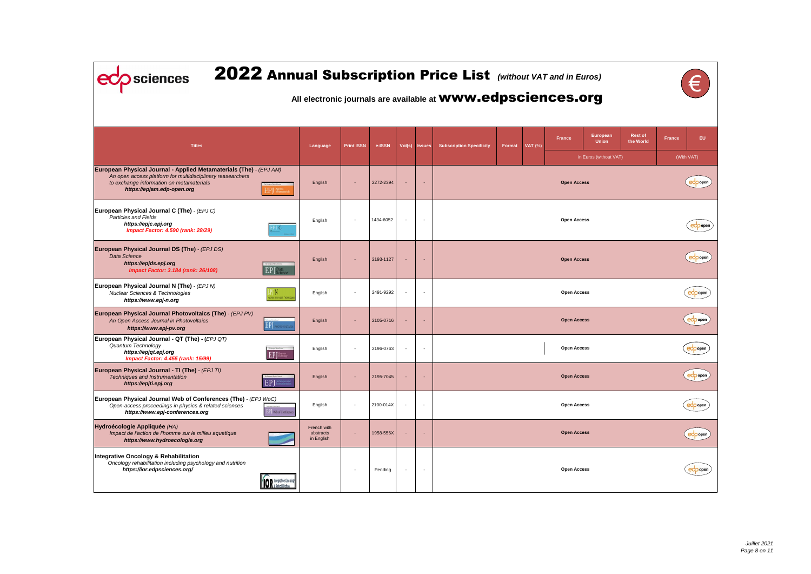| Euros)<br>org            |                             |               | $\epsilon$      |
|--------------------------|-----------------------------|---------------|-----------------|
| European<br><b>Union</b> | <b>Rest of</b><br>the World | <b>France</b> | EU              |
| in Euros (without VAT)   |                             | (With VAT)    |                 |
| cess:                    |                             |               | open<br>e       |
| cess:                    |                             |               | eco open        |
| cess:                    |                             |               | eco open        |
| cess:                    |                             |               | $\bigcirc$ open |
| cess:                    |                             |               | $ec$ popen      |
| <b>cess:</b>             |                             |               | open            |
| <b>cess:</b>             |                             |               | $\epsilon$      |
| cess:                    |                             |               | $\epsilon$      |
| <b>cess:</b>             |                             |               | $\epsilon$      |
| cess:                    |                             |               | ecoppen         |

| 2022 Annual Subscription Price List (Without VAT and in Euros)<br>sciences                                                                                                                                 |                                        |                   |           |                |                          |                                                                     |        |        |                    |                                               |
|------------------------------------------------------------------------------------------------------------------------------------------------------------------------------------------------------------|----------------------------------------|-------------------|-----------|----------------|--------------------------|---------------------------------------------------------------------|--------|--------|--------------------|-----------------------------------------------|
|                                                                                                                                                                                                            |                                        |                   |           |                |                          | All electronic journals are available at <b>WWW.edpsciences.org</b> |        |        |                    |                                               |
| <b>Titles</b>                                                                                                                                                                                              | Language                               | <b>Print ISSN</b> | e-ISSN    | Vol(s)         | <b>Issues</b>            | <b>Subscription Specificity</b>                                     | Format | VAT(%) | <b>France</b>      | European<br><b>Union</b><br>in Euros (without |
| European Physical Journal - Applied Metamaterials (The) - (EPJ AM)<br>An open access platform for multidisciplinary reasearchers<br>to exchange information on metamaterials<br>https://epjam.edp-open.org | English                                |                   | 2272-2394 | $\sim$         |                          |                                                                     |        |        | <b>Open Access</b> |                                               |
| European Physical Journal C (The) - (EPJ C)<br>Particles and Fields<br>https://epjc.epj.org<br><b>Impact Factor: 4.590 (rank: 28/29)</b>                                                                   | English                                |                   | 1434-6052 | ÷,             |                          |                                                                     |        |        | <b>Open Access</b> |                                               |
| European Physical Journal DS (The) - (EPJ DS)<br>Data Science<br>https://epjds.epj.org<br><b>EP</b> J Pata<br><b>Impact Factor: 3.184 (rank: 26/108)</b>                                                   | English                                |                   | 2193-1127 |                |                          |                                                                     |        |        | <b>Open Access</b> |                                               |
| European Physical Journal N (The) - (EPJ N)<br><b>Nuclear Sciences &amp; Technologies</b><br>iciear Sciences & Technolo<br>https://www.epj-n.org                                                           | English                                |                   | 2491-9292 | $\sim$         |                          |                                                                     |        |        | <b>Open Access</b> |                                               |
| European Physical Journal Photovoltaics (The) - (EPJ PV)<br>An Open Access Journal in Photovoltaics<br>EP <sub>I</sub><br><b>IOTOVOLTAE</b><br>https://www.epj-pv.org                                      | English                                |                   | 2105-0716 | $\blacksquare$ |                          |                                                                     |        |        | <b>Open Access</b> |                                               |
| European Physical Journal - QT (The) - (EPJ QT)<br>Quantum Technology<br>https://epjqt.epj.org<br>$EPJ$ <sup>Quantur</sup><br><b>Impact Factor: 4.455 (rank: 15/99)</b>                                    | English                                |                   | 2196-0763 | $\overline{a}$ |                          |                                                                     |        |        | <b>Open Access</b> |                                               |
| European Physical Journal - TI (The) - (EPJ TI)<br>Techniques and Instrumentation<br>EPJ<br>https://epjti.epj.org                                                                                          | English                                |                   | 2195-7045 |                |                          |                                                                     |        |        | <b>Open Access</b> |                                               |
| European Physical Journal Web of Conferences (The) - (EPJ WoC)<br>Open-access proceedings in physics & related sciences<br>https://www.epj-conferences.org<br><b>EP</b> Web of Conferences                 | English                                |                   | 2100-014X | $\blacksquare$ | $\overline{\phantom{a}}$ |                                                                     |        |        | <b>Open Access</b> |                                               |
| Hydroécologie Appliquée (HA)<br>Impact de l'action de l'homme sur le milieu aquatique<br>https://www.hydroecologie.org                                                                                     | French with<br>abstracts<br>in English |                   | 1958-556X | ٠              |                          |                                                                     |        |        | <b>Open Access</b> |                                               |
| <b>Integrative Oncology &amp; Rehabilitation</b><br>Oncology rehabilitation including psychology and nutrition<br>https://ior.edpsciences.org/<br><b>IOR</b> integrative Oncolog                           |                                        |                   | Pending   |                |                          |                                                                     |        |        | <b>Open Access</b> |                                               |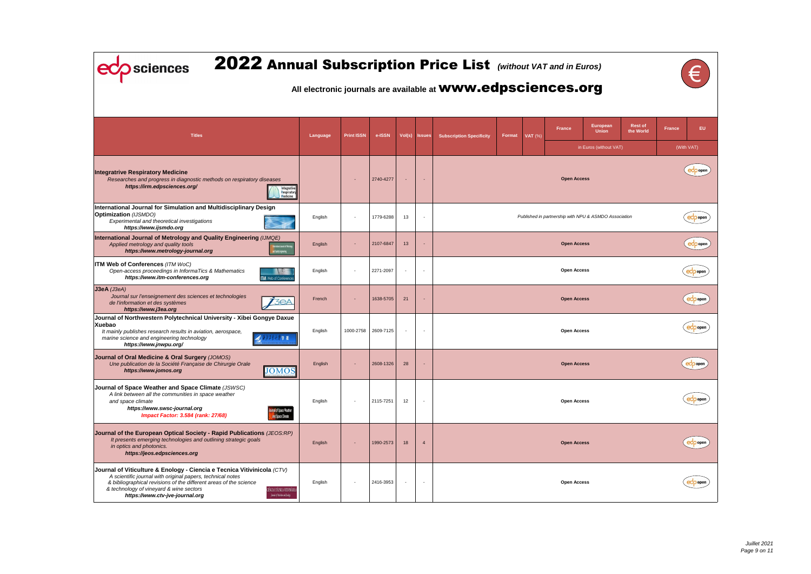| Euros)<br>org                      |                             |               | $\epsilon$                               |
|------------------------------------|-----------------------------|---------------|------------------------------------------|
| European<br><b>Union</b>           | <b>Rest of</b><br>the World | <b>France</b> | EU                                       |
| in Euros (without VAT)             |                             |               | (With VAT)                               |
| cess:                              |                             |               | ecoopen                                  |
| <b>VPU &amp; ASMDO Association</b> |                             |               | open                                     |
| cess:                              |                             |               | eco open                                 |
| cess:                              |                             |               | open                                     |
| cess:                              |                             |               | Open<br>$\mathbf e$                      |
| cess:                              |                             |               | open                                     |
| ${\sf cess}$                       |                             |               | $\overline{\mathsf{e}^{\mathsf{d}}$ open |
| cess:                              |                             |               | $ec$ open                                |
| cess:                              |                             |               | ecoopen                                  |
| cess:                              |                             |               | $e^{\phi}$ open                          |

| 2022 Annual Subscription Price List (Without VAT and in Euros)<br>sciences<br>All electronic journals are available at <b>WWW.edpsciences.org</b>                                                                                                                                                                                                                |          |                          |           |                          |                |                                 |        |                |                    |                                                       |    |  |  |
|------------------------------------------------------------------------------------------------------------------------------------------------------------------------------------------------------------------------------------------------------------------------------------------------------------------------------------------------------------------|----------|--------------------------|-----------|--------------------------|----------------|---------------------------------|--------|----------------|--------------------|-------------------------------------------------------|----|--|--|
| <b>Titles</b>                                                                                                                                                                                                                                                                                                                                                    | Language | <b>Print ISSN</b>        | e-ISSN    | Vol(s)                   | <b>Issues</b>  | <b>Subscription Specificity</b> | Format | <b>VAT</b> (%) | <b>France</b>      | <b>European</b><br><b>Union</b>                       | tŀ |  |  |
| <b>Integratrive Respiratory Medicine</b><br>Researches and progress in diagnostic methods on respiratory diseases<br>https://irm.edpsciences.org/<br>ntegrative<br>Respiratory<br><b>Medicine</b>                                                                                                                                                                |          |                          | 2740-4277 |                          |                |                                 |        |                | <b>Open Access</b> | in Euros (without VAT)                                |    |  |  |
| International Journal for Simulation and Multidisciplinary Design<br><b>Optimization</b> (IJSMDO)<br>Experimental and theoretical investigations<br>https://www.ijsmdo.org                                                                                                                                                                                       | English  |                          | 1779-6288 | 13                       |                |                                 |        |                |                    | Published in partnership with NPU & ASMDO Association |    |  |  |
| International Journal of Metrology and Quality Engineering (IJMQE)<br>Applied metrology and quality tools<br>emational Journal of Metrol<br>https://www.metrology-journal.org<br><mark>e</mark> d Chality Engineering                                                                                                                                            | English  |                          | 2107-6847 | 13                       |                |                                 |        |                | <b>Open Access</b> |                                                       |    |  |  |
| ITM Web of Conferences (ITM WoC)<br>Open-access proceedings in InformaTics & Mathematics<br>https://www.itm-conferences.org<br><b>ITM</b> Web of Conference:                                                                                                                                                                                                     | English  |                          | 2271-2097 | $\overline{\phantom{a}}$ |                |                                 |        |                | <b>Open Access</b> |                                                       |    |  |  |
| $J3eA$ ( $J3eA$ )<br>Journal sur l'enseignement des sciences et technologies<br><b>3eA</b><br>de l'information et des systèmes<br>https://www.j3ea.org                                                                                                                                                                                                           | French   | ٠                        | 1638-5705 | 21                       |                |                                 |        |                | <b>Open Access</b> |                                                       |    |  |  |
| Journal of Northwestern Polytechnical University - Xibei Gongye Daxue<br>Xuebao<br>It mainly publishes research results in aviation, aerospace,<br>marine science and engineering technology<br>学报<br>https://www.jnwpu.org/                                                                                                                                     | English  | 1000-2758                | 2609-7125 |                          |                |                                 |        |                | <b>Open Access</b> |                                                       |    |  |  |
| Journal of Oral Medicine & Oral Surgery (JOMOS)<br>Une publication de la Société Française de Chirurgie Orale<br><b>JOMOS</b><br>https://www.jomos.org                                                                                                                                                                                                           | English  |                          | 2608-1326 | 28                       |                |                                 |        |                | <b>Open Access</b> |                                                       |    |  |  |
| Journal of Space Weather and Space Climate (JSWSC)<br>A link between all the communities in space weather<br>and space climate<br>https://www.swsc-journal.org<br>mal of Space Weather<br><b>Impact Factor: 3.584 (rank: 27/68)</b><br>and Space Climate                                                                                                         | English  | $\overline{\phantom{a}}$ | 2115-7251 | 12                       |                |                                 |        |                | <b>Open Access</b> |                                                       |    |  |  |
| Journal of the European Optical Society - Rapid Publications (JEOS:RP)<br>It presents emerging technologies and outlining strategic goals<br>in optics and photonics.<br>https://jeos.edpsciences.org                                                                                                                                                            | English  |                          | 1990-2573 | 18                       | $\overline{4}$ |                                 |        |                | <b>Open Access</b> |                                                       |    |  |  |
| Journal of Viticulture & Enology - Ciencia e Tecnica Vitivinicola (CTV)<br>A scientific journal with original papers, technical notes<br>& bibliographical revisions of the different areas of the science<br>& technology of vineyard & wine sectors<br>CIÉNCIA E TÉCNICA VITIVINÍCOLA<br>Journal of Viticulture and Enology<br>https://www.ctv-jve-journal.org | English  |                          | 2416-3953 | $\sim$                   |                |                                 |        |                | <b>Open Access</b> |                                                       |    |  |  |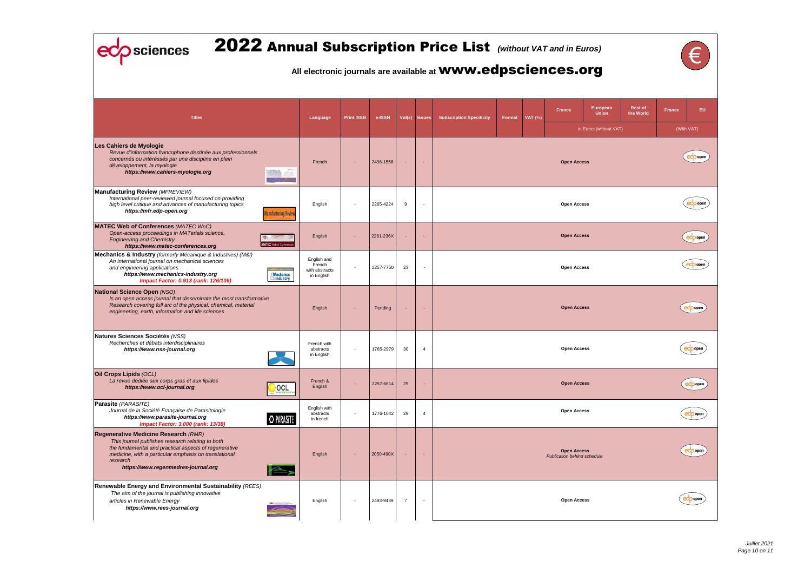| Euros)<br>org            |                      |               | $\epsilon$ |
|--------------------------|----------------------|---------------|------------|
| European<br><b>Union</b> | Rest of<br>the World | <b>France</b> | EU         |
| in Euros (without VAT)   |                      |               | (With VAT) |
| cess:                    |                      |               | ecoopen    |
| cess:                    |                      |               | ecoopen    |
| cess:                    |                      |               | eco open   |
| cess:                    |                      |               | $ec$ open  |
| cess:                    |                      |               | ecoopen    |
| cess:                    |                      |               | eco open   |
| cess:                    |                      | $\mathbf{e}$  | popen      |
| cess:                    |                      |               | ecoppen    |
| cess:<br>ind schedule    |                      |               | ecoppen    |
| cess:                    |                      |               | open       |

| <b>2022 Annual Subscription Price List</b> (without VAT and in Euros)<br>sciences                                                                                                                                                                                     |                                                       |                   |           |                |                          | All electronic journals are available at <b>WWW.edpsciences.org</b> |               |                |                                                                |
|-----------------------------------------------------------------------------------------------------------------------------------------------------------------------------------------------------------------------------------------------------------------------|-------------------------------------------------------|-------------------|-----------|----------------|--------------------------|---------------------------------------------------------------------|---------------|----------------|----------------------------------------------------------------|
| <b>Titles</b>                                                                                                                                                                                                                                                         | Language                                              | <b>Print ISSN</b> | e-ISSN    | Vol(s)         | <b>Issues</b>            | <b>Subscription Specificity</b>                                     | <b>Format</b> | <b>VAT</b> (%) | European<br><b>France</b><br><b>Union</b><br>in Euros (without |
| Les Cahiers de Myologie<br>Revue d'information francophone destinée aux professionnels<br>concernés ou intéréssés par une discipline en plein<br>développement, la myologie<br>https://www.cahiers-myologie.org                                                       | French                                                |                   | 2496-1558 |                |                          |                                                                     |               |                | <b>Open Access</b>                                             |
| <b>Manufacturing Review (MFREVIEW)</b><br>International peer-reviewed journal focused on providing<br>high level critique and advances of manufacturing topics<br>https://mfr.edp-open.org<br><b>Manufacturing Revier</b>                                             | English                                               |                   | 2265-4224 | 9              | $\overline{\phantom{a}}$ |                                                                     |               |                | <b>Open Access</b>                                             |
| <b>MATEC Web of Conferences (MATEC WoC)</b><br>Open-access proceedings in MATerials science,<br><b>Engineering and Chemistry</b><br>MATEC Web of Conferenc<br>https://www.matec-conferences.org                                                                       | English                                               |                   | 2261-236X |                | $\sim$                   |                                                                     |               |                | <b>Open Access</b>                                             |
| Mechanics & Industry (formerly Mécanique & Industries) (M&I)<br>An international journal on mechanical sciences<br>and engineering applications<br>https://www.mechanics-industry.org<br><b>Mechanics</b><br><b>XIndustry</b><br>Impact Factor: 0.913 (rank: 126/136) | English and<br>French<br>with abstracts<br>in English |                   | 2257-7750 | 23             | $\overline{\phantom{a}}$ |                                                                     |               |                | <b>Open Access</b>                                             |
| <b>National Science Open (NSO)</b><br>Is an open access journal that disseminate the most transformative<br>Research covering full arc of the physical, chemical, material<br>engineering, earth, information and life sciences                                       | English                                               |                   | Pending   |                |                          |                                                                     |               |                | <b>Open Access</b>                                             |
| Natures Sciences Sociétés (NSS)<br>Recherches et débats interdisciplinaires<br>https://www.nss-journal.org                                                                                                                                                            | French with<br>abstracts<br>in English                |                   | 1765-2979 | 30             | $\overline{4}$           |                                                                     |               |                | <b>Open Access</b>                                             |
| Oil Crops Lipids (OCL)<br>La revue dédiée aux corps gras et aux lipides<br>https://www.ocl-journal.org<br><b>OCL</b>                                                                                                                                                  | French &<br>English                                   |                   | 2257-6614 | 29             |                          |                                                                     |               |                | <b>Open Access</b>                                             |
| Parasite (PARASITE)<br>Journal de la Société Française de Parasitologie<br>https://www.parasite-journal.org<br><b>O PARASTE</b><br><b>Impact Factor: 3.000 (rank: 13/38)</b>                                                                                          | English with<br>abstracts<br>in french                |                   | 1776-1042 | 29             | $\overline{4}$           |                                                                     |               |                | <b>Open Access</b>                                             |
| Regenerative Medicine Research (RMR)<br>This journal publishes research relating to both<br>the fundamental and practical aspects of regenerative<br>medicine, with a particular emphasis on translational<br>research<br>https://www.regenmedres-journal.org         | English                                               |                   | 2050-490X |                |                          |                                                                     |               |                | <b>Open Access</b><br><b>Publication behind schedule</b>       |
| Renewable Energy and Environmental Sustainability (REES)<br>The aim of the journal is publishing innovative<br>articles in Renewable Energy<br>https://www.rees-journal.org                                                                                           | English                                               |                   | 2493-9439 | $\overline{7}$ | ч.                       |                                                                     |               |                | <b>Open Access</b>                                             |